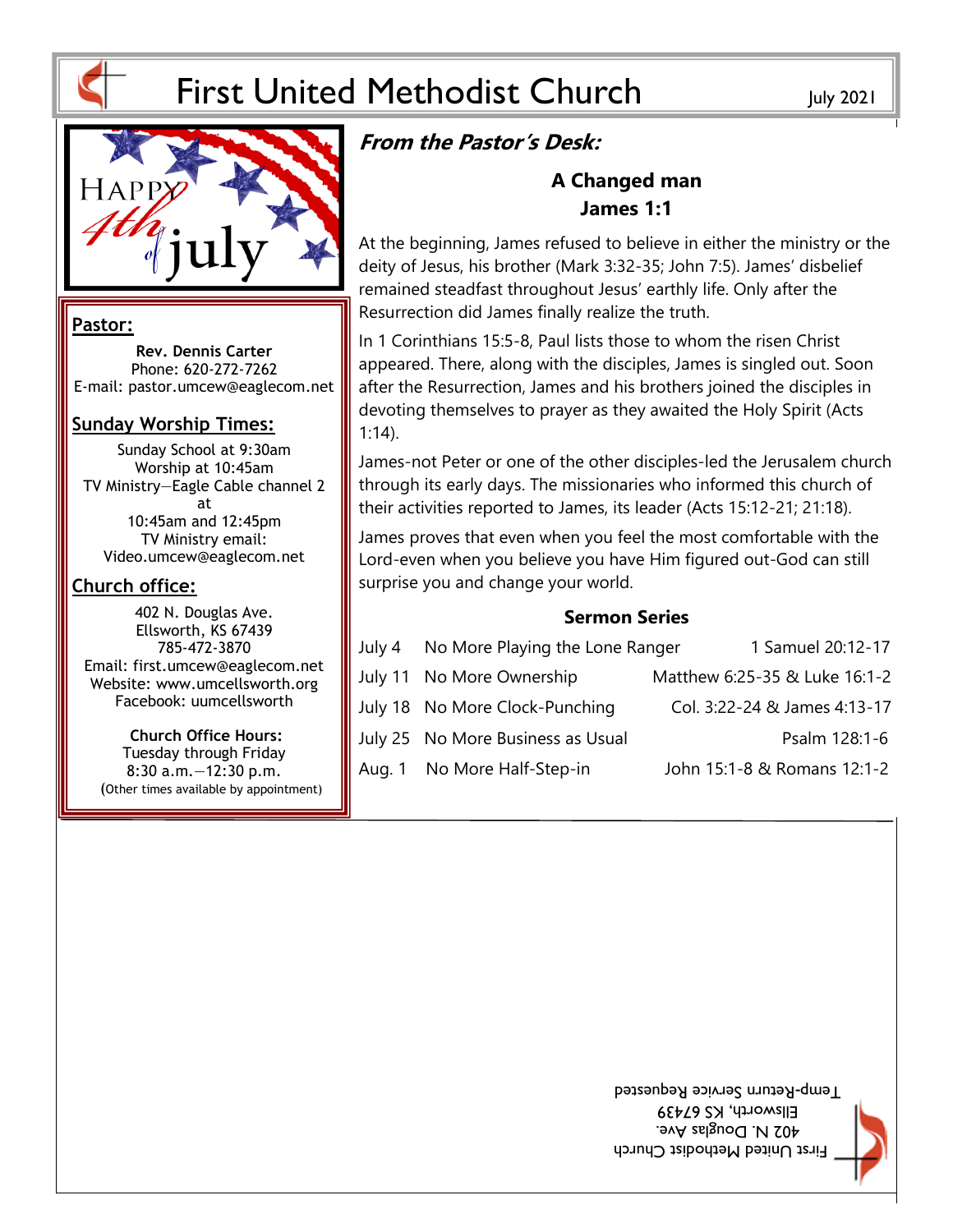# First United Methodist Church July 2021



#### **Pastor:**

**Rev. Dennis Carter** Phone: 620-272-7262 E-mail: pastor.umcew@eaglecom.net

#### **Sunday Worship Times:**

Sunday School at 9:30am Worship at 10:45am TV Ministry—Eagle Cable channel 2 at 10:45am and 12:45pm TV Ministry email: Video.umcew@eaglecom.net

#### **Church office:**

402 N. Douglas Ave. Ellsworth, KS 67439 785-472-3870 Email: first.umcew@eaglecom.net Website: www.umcellsworth.org Facebook: uumcellsworth

**Church Office Hours:** Tuesday through Friday 8:30 a.m.—12:30 p.m. (Other times available by appointment)

# **From the Pastor's Desk:**

## **A Changed man James 1:1**

At the beginning, James refused to believe in either the ministry or the deity of Jesus, his brother (Mark 3:32-35; John 7:5). James' disbelief remained steadfast throughout Jesus' earthly life. Only after the Resurrection did James finally realize the truth.

In 1 Corinthians 15:5-8, Paul lists those to whom the risen Christ appeared. There, along with the disciples, James is singled out. Soon after the Resurrection, James and his brothers joined the disciples in devoting themselves to prayer as they awaited the Holy Spirit (Acts 1:14).

James-not Peter or one of the other disciples-led the Jerusalem church through its early days. The missionaries who informed this church of their activities reported to James, its leader (Acts 15:12-21; 21:18).

James proves that even when you feel the most comfortable with the Lord-even when you believe you have Him figured out-God can still surprise you and change your world.

#### **Sermon Series**

| July 4 | No More Playing the Lone Ranger   | 1 Samuel 20:12-17             |
|--------|-----------------------------------|-------------------------------|
|        | July 11 No More Ownership         | Matthew 6:25-35 & Luke 16:1-2 |
|        | July 18 No More Clock-Punching    | Col. 3:22-24 & James 4:13-17  |
|        | July 25 No More Business as Usual | Psalm 128:1-6                 |
| Aug. 1 | No More Half-Step-in              | John 15:1-8 & Romans 12:1-2   |

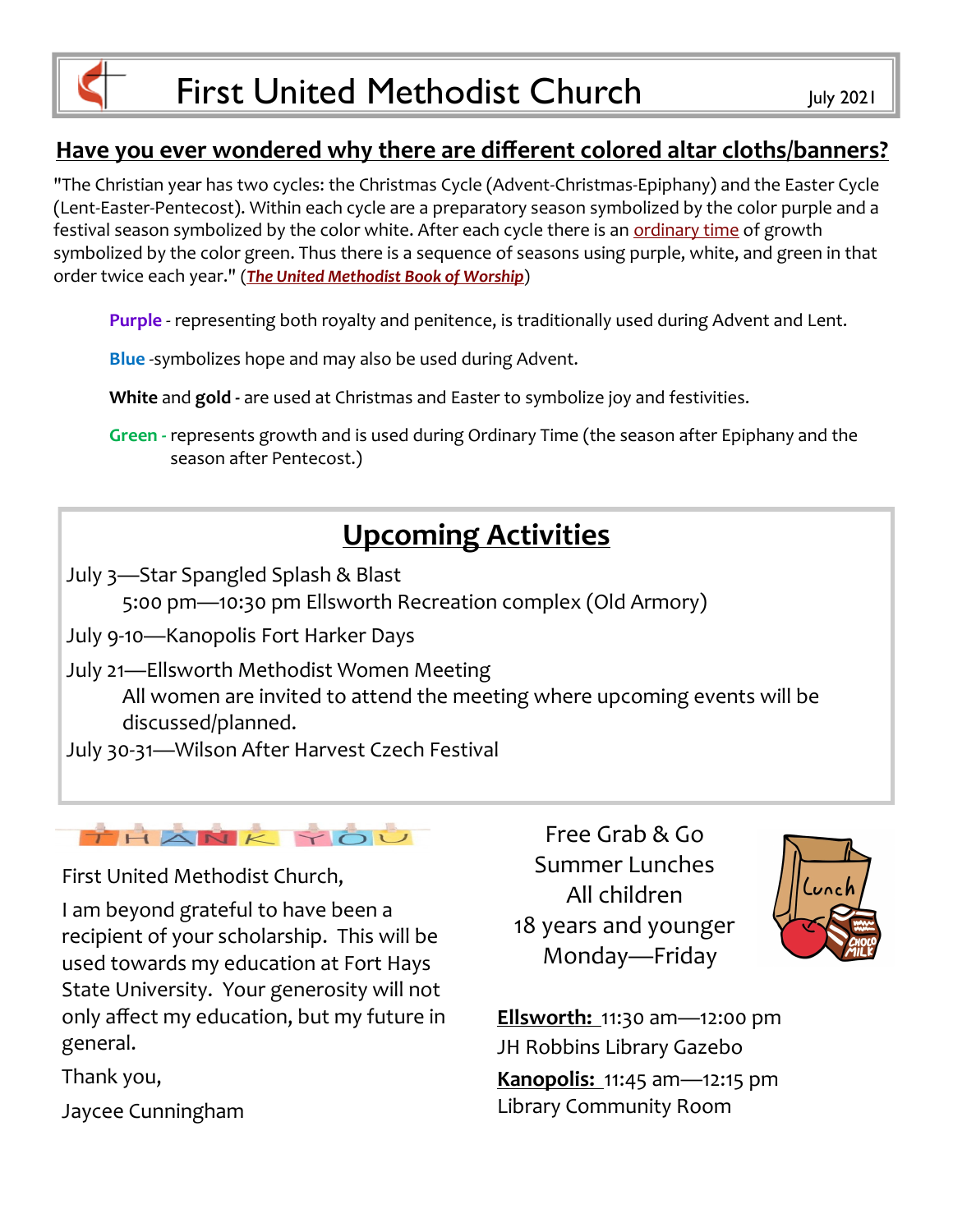# **Have you ever wondered why there are different colored altar cloths/banners?**

"The Christian year has two cycles: the Christmas Cycle (Advent-Christmas-Epiphany) and the Easter Cycle (Lent-Easter-Pentecost). Within each cycle are a preparatory season symbolized by the color purple and a festival season symbolized by the color white. After each cycle there is an [ordinary time](https://www.umc.org/en/content/ask-the-umc-what-is-ordinary-time) of growth symbolized by the color green. Thus there is a sequence of seasons using purple, white, and green in that order twice each year." (*[The United Methodist Book of Worship](https://www.umcdiscipleship.org/resources/colors-for-the-christian-year)*)

**Purple** - representing both royalty and penitence, is traditionally used during Advent and Lent.

**Blue** -symbolizes hope and may also be used during Advent.

**White** and **gold -** are used at Christmas and Easter to symbolize joy and festivities.

**Green -** represents growth and is used during Ordinary Time (the season after Epiphany and the season after Pentecost.)

# **Upcoming Activities**

July 3—Star Spangled Splash & Blast

5:00 pm—10:30 pm Ellsworth Recreation complex (Old Armory)

July 9-10—Kanopolis Fort Harker Days

July 21—Ellsworth Methodist Women Meeting

All women are invited to attend the meeting where upcoming events will be discussed/planned.

July 30-31—Wilson After Harvest Czech Festival



First United Methodist Church,

I am beyond grateful to have been a recipient of your scholarship. This will be used towards my education at Fort Hays State University. Your generosity will not only affect my education, but my future in general.

Thank you,

Jaycee Cunningham

Free Grab & Go Summer Lunches All children 18 years and younger Monday—Friday



**Ellsworth:** 11:30 am—12:00 pm JH Robbins Library Gazebo **Kanopolis:** 11:45 am—12:15 pm Library Community Room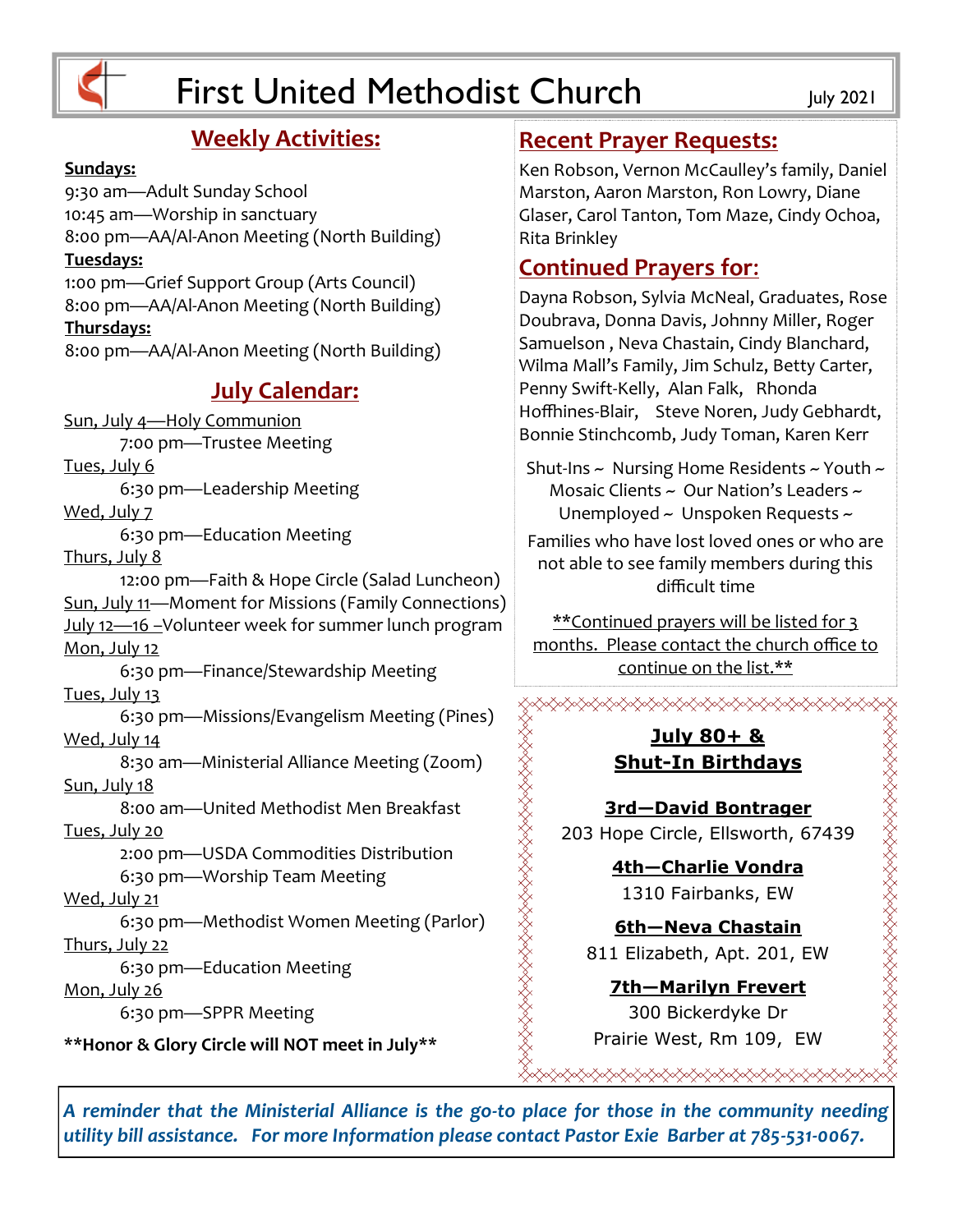

# First United Methodist Church July 2021

# **Weekly Activities:**

#### **Sundays:**

9:30 am—Adult Sunday School 10:45 am—Worship in sanctuary 8:00 pm—AA/Al-Anon Meeting (North Building) **Tuesdays:** 1:00 pm—Grief Support Group (Arts Council) 8:00 pm—AA/Al-Anon Meeting (North Building) **Thursdays:**

8:00 pm—AA/Al-Anon Meeting (North Building)

## **July Calendar:**

Sun, July 4—Holy Communion 7:00 pm—Trustee Meeting Tues, July 6

6:30 pm—Leadership Meeting

Wed, July 7

6:30 pm—Education Meeting

Thurs, July 8

12:00 pm—Faith & Hope Circle (Salad Luncheon) Sun, July 11—Moment for Missions (Family Connections) July 12—16 –Volunteer week for summer lunch program Mon, July 12 6:30 pm—Finance/Stewardship Meeting Tues, July 13 6:30 pm—Missions/Evangelism Meeting (Pines) Wed, July 14 8:30 am—Ministerial Alliance Meeting (Zoom) Sun, July 18 8:00 am—United Methodist Men Breakfast Tues, July 20

2:00 pm—USDA Commodities Distribution 6:30 pm—Worship Team Meeting

Wed, July 21

6:30 pm—Methodist Women Meeting (Parlor) Thurs, July 22

6:30 pm—Education Meeting

Mon, July 26

6:30 pm—SPPR Meeting

**\*\*Honor & Glory Circle will NOT meet in July\*\***

### **Recent Prayer Requests:**

Ken Robson, Vernon McCaulley's family, Daniel Marston, Aaron Marston, Ron Lowry, Diane Glaser, Carol Tanton, Tom Maze, Cindy Ochoa, Rita Brinkley

# **Continued Prayers for**:

Dayna Robson, Sylvia McNeal, Graduates, Rose Doubrava, Donna Davis, Johnny Miller, Roger Samuelson , Neva Chastain, Cindy Blanchard, Wilma Mall's Family, Jim Schulz, Betty Carter, Penny Swift-Kelly, Alan Falk, Rhonda Hoffhines-Blair, Steve Noren, Judy Gebhardt, Bonnie Stinchcomb, Judy Toman, Karen Kerr

Shut-Ins ~ Nursing Home Residents ~ Youth ~ Mosaic Clients  $\sim$  Our Nation's Leaders  $\sim$ Unemployed ~ Unspoken Requests ~ Families who have lost loved ones or who are

not able to see family members during this difficult time

\*\*Continued prayers will be listed for 3 months. Please contact the church office to continue on the list.\*\*

<del></del>

#### **July 80+ & Shut-In Birthdays**

**3rd—David Bontrager** 203 Hope Circle, Ellsworth, 67439

> **4th—Charlie Vondra** 1310 Fairbanks, EW

**6th—Neva Chastain** 811 Elizabeth, Apt. 201, EW

**7th—Marilyn Frevert** 300 Bickerdyke Dr Prairie West, Rm 109, EW

</del>

*A reminder that the Ministerial Alliance is the go-to place for those in the community needing utility bill assistance. For more Information please contact Pastor Exie Barber at 785-531-0067.*

**station political property of the content of the content of property**